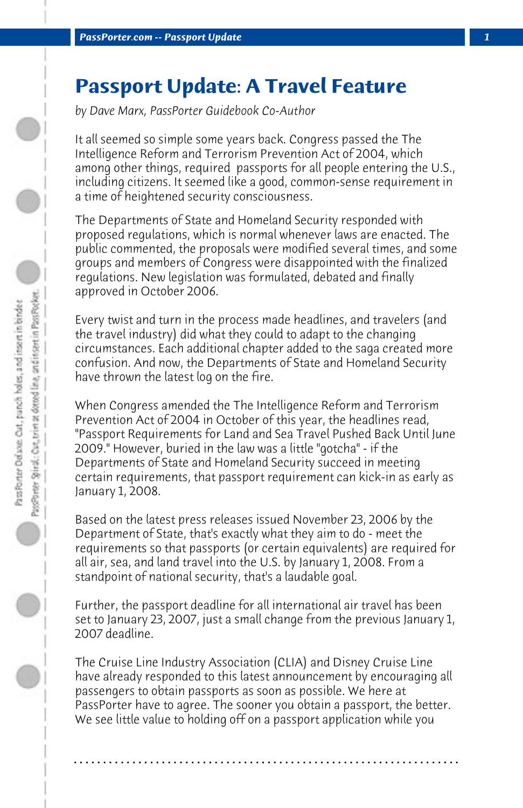## **Passport Update: A Travel Feature**

*by Dave Marx, PassPorter Guidebook Co-Author*

It all seemed so simple some years back. Congress passed the The Intelligence Reform and Terrorism Prevention Act of 2004, which among other things, required passports for all people entering the U.S., including citizens. It seemed like a good, common-sense requirement in a time of heightened security consciousness.

The Departments of State and Homeland Security responded with proposed regulations, which is normal whenever laws are enacted. The public commented, the proposals were modified several times, and some groups and members of Congress were disappointed with the finalized regulations. New legislation was formulated, debated and finally approved in October 2006.

Every twist and turn in the process made headlines, and travelers (and the travel industry) did what they could to adapt to the changing circumstances. Each additional chapter added to the saga created more confusion. And now, the Departments of State and Homeland Security have thrown the latest log on the fire.

When Congress amended the The Intelligence Reform and Terrorism Prevention Act of 2004 in October of this year, the headlines read, "Passport Requirements for Land and Sea Travel Pushed Back Until June 2009." However, buried in the law was a little "gotcha" - if the Departments of State and Homeland Security succeed in meeting certain requirements, that passport requirement can kick-in as early as January 1, 2008.

Based on the latest press releases issued November 23, 2006 by the Department of State, that's exactly what they aim to do - meet the requirements so that passports (or certain equivalents) are required for all air, sea, and land travel into the U.S. by January 1, 2008. From a standpoint of national security, that's a laudable goal.

Further, the passport deadline for all international air travel has been set to January 23, 2007, just a small change from the previous January 1, 2007 deadline.

The Cruise Line Industry Association (CLIA) and Disney Cruise Line have already responded to this latest announcement by encouraging all passengers to obtain passports as soon as possible. We here at PassPorter have to agree. The sooner you obtain a passport, the better. We see little value to holding off on a passport application while you

**. . . . . . . . . . . . . . . . . . . . . . . . . . . . . . . . . . . . . . . . . . . . . . . . . . . . . . . . . . . . . . . . . .**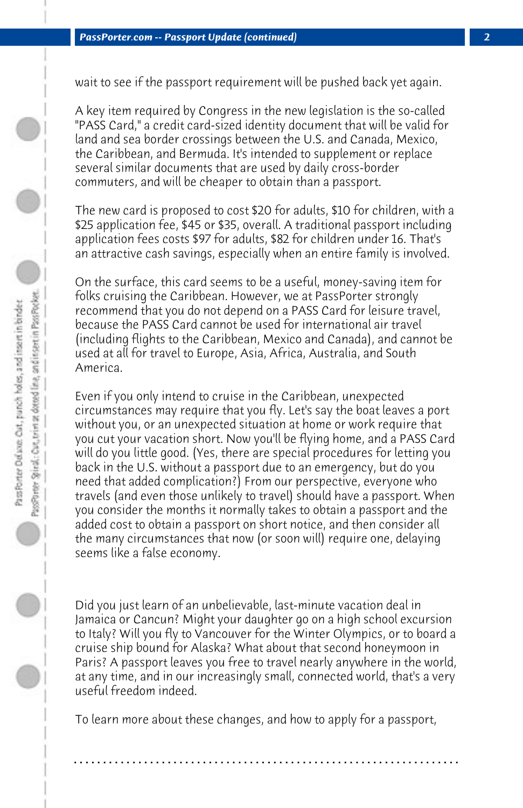wait to see if the passport requirement will be pushed back yet again.

A key item required by Congress in the new legislation is the so-called "PASS Card," a credit card-sized identity document that will be valid for land and sea border crossings between the U.S. and Canada, Mexico, the Caribbean, and Bermuda. It's intended to supplement or replace several similar documents that are used by daily cross-border commuters, and will be cheaper to obtain than a passport.

The new card is proposed to cost \$20 for adults, \$10 for children, with a \$25 application fee, \$45 or \$35, overall. A traditional passport including application fees costs \$97 for adults, \$82 for children under 16. That's an attractive cash savings, especially when an entire family is involved.

On the surface, this card seems to be a useful, money-saving item for folks cruising the Caribbean. However, we at PassPorter strongly recommend that you do not depend on a PASS Card for leisure travel, because the PASS Card cannot be used for international air travel (including flights to the Caribbean, Mexico and Canada), and cannot be used at all for travel to Europe, Asia, Africa, Australia, and South America.

Even if you only intend to cruise in the Caribbean, unexpected circumstances may require that you fly. Let's say the boat leaves a port without you, or an unexpected situation at home or work require that you cut your vacation short. Now you'll be flying home, and a PASS Card will do you little good. (Yes, there are special procedures for letting you back in the U.S. without a passport due to an emergency, but do you need that added complication?) From our perspective, everyone who travels (and even those unlikely to travel) should have a passport. When you consider the months it normally takes to obtain a passport and the added cost to obtain a passport on short notice, and then consider all the many circumstances that now (or soon will) require one, delaying seems like a false economy.

Did you just learn of an unbelievable, last-minute vacation deal in Jamaica or Cancun? Might your daughter go on a high school excursion to Italy? Will you fly to Vancouver for the Winter Olympics, or to board a cruise ship bound for Alaska? What about that second honeymoon in Paris? A passport leaves you free to travel nearly anywhere in the world, at any time, and in our increasingly small, connected world, that's a very useful freedom indeed.

To learn more about these changes, and how to apply for a passport,

**. . . . . . . . . . . . . . . . . . . . . . . . . . . . . . . . . . . . . . . . . . . . . . . . . . . . . . . . . . . . . . . . . .**